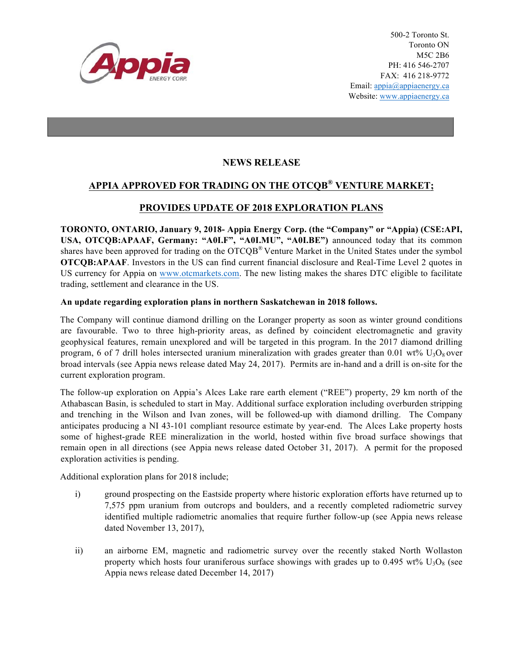

500-2 Toronto St. Toronto ON M5C 2B6 PH: 416 546-2707 FAX: 416 218-9772 Email: appia@appiaenergy.ca Website: www.appiaenergy.ca

## **NEWS RELEASE**

# **APPIA APPROVED FOR TRADING ON THE OTCQB® VENTURE MARKET;**

## **PROVIDES UPDATE OF 2018 EXPLORATION PLANS**

**TORONTO, ONTARIO, January 9, 2018- Appia Energy Corp. (the "Company" or "Appia) (CSE:API, USA, OTCQB:APAAF, Germany: "A0I.F", "A0I.MU", "A0I.BE")** announced today that its common shares have been approved for trading on the OTCQB<sup>®</sup> Venture Market in the United States under the symbol **OTCQB:APAAF**. Investors in the US can find current financial disclosure and Real-Time Level 2 quotes in US currency for Appia on [www.otcmarkets.com](http://www.otcmarkets.com). The new listing makes the shares DTC eligible to facilitate trading, settlement and clearance in the US.

### **An update regarding exploration plans in northern Saskatchewan in 2018 follows.**

The Company will continue diamond drilling on the Loranger property as soon as winter ground conditions are favourable. Two to three high-priority areas, as defined by coincident electromagnetic and gravity geophysical features, remain unexplored and will be targeted in this program. In the 2017 diamond drilling program, 6 of 7 drill holes intersected uranium mineralization with grades greater than 0.01 wt%  $U_3O_8$  over broad intervals (see Appia news release dated May 24, 2017). Permits are in-hand and a drill is on-site for the current exploration program.

The follow-up exploration on Appia's Alces Lake rare earth element ("REE") property, 29 km north of the Athabascan Basin, is scheduled to start in May. Additional surface exploration including overburden stripping and trenching in the Wilson and Ivan zones, will be followed-up with diamond drilling. The Company anticipates producing a NI 43-101 compliant resource estimate by year-end. The Alces Lake property hosts some of highest-grade REE mineralization in the world, hosted within five broad surface showings that remain open in all directions (see Appia news release dated October 31, 2017). A permit for the proposed exploration activities is pending.

Additional exploration plans for 2018 include;

- i) ground prospecting on the Eastside property where historic exploration efforts have returned up to 7,575 ppm uranium from outcrops and boulders, and a recently completed radiometric survey identified multiple radiometric anomalies that require further follow-up (see Appia news release dated November 13, 2017),
- ii) an airborne EM, magnetic and radiometric survey over the recently staked North Wollaston property which hosts four uraniferous surface showings with grades up to 0.495 wt%  $U_3O_8$  (see Appia news release dated December 14, 2017)